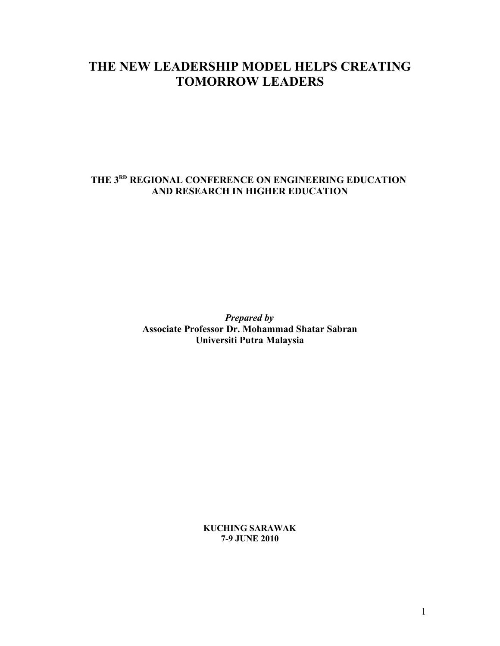# **THE NEW LEADERSHIP MODEL HELPS CREATING TOMORROW LEADERS**

### **THE 3RD REGIONAL CONFERENCE ON ENGINEERING EDUCATION AND RESEARCH IN HIGHER EDUCATION**

*Prepared by* **Associate Professor Dr. Mohammad Shatar Sabran Universiti Putra Malaysia**

> **KUCHING SARAWAK 7-9 JUNE 2010**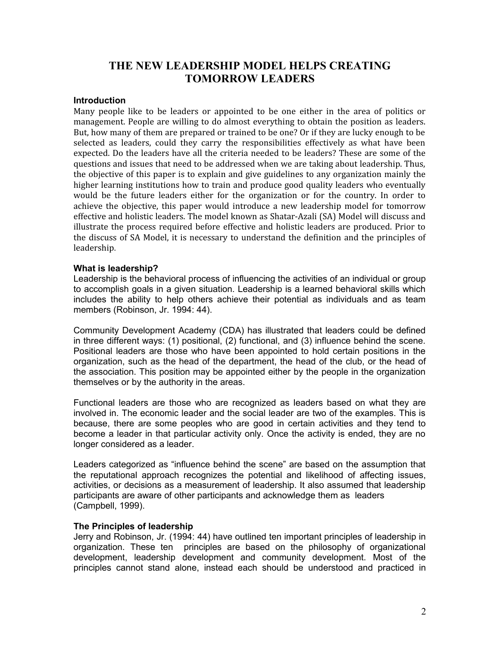### **THE NEW LEADERSHIP MODEL HELPS CREATING TOMORROW LEADERS**

#### **Introduction**

Many people like to be leaders or appointed to be one either in the area of politics or management. People are willing to do almost everything to obtain the position as leaders. But, how many of them are prepared or trained to be one? Or if they are lucky enough to be selected as leaders, could they carry the responsibilities effectively as what have been expected. Do the leaders have all the criteria needed to be leaders? These are some of the questions and issues that need to be addressed when we are taking about leadership. Thus, the objective of this paper is to explain and give guidelines to any organization mainly the higher learning institutions how to train and produce good quality leaders who eventually would be the future leaders either for the organization or for the country. In order to achieve the objective, this paper would introduce a new leadership model for tomorrow effective and holistic leaders. The model known as Shatar-Azali (SA) Model will discuss and illustrate the process required before effective and holistic leaders are produced. Prior to the discuss of SA Model, it is necessary to understand the definition and the principles of leadership.

#### **What is leadership?**

Leadership is the behavioral process of influencing the activities of an individual or group to accomplish goals in a given situation. Leadership is a learned behavioral skills which includes the ability to help others achieve their potential as individuals and as team members (Robinson, Jr. 1994: 44).

Community Development Academy (CDA) has illustrated that leaders could be defined in three different ways: (1) positional, (2) functional, and (3) influence behind the scene. Positional leaders are those who have been appointed to hold certain positions in the organization, such as the head of the department, the head of the club, or the head of the association. This position may be appointed either by the people in the organization themselves or by the authority in the areas.

Functional leaders are those who are recognized as leaders based on what they are involved in. The economic leader and the social leader are two of the examples. This is because, there are some peoples who are good in certain activities and they tend to become a leader in that particular activity only. Once the activity is ended, they are no longer considered as a leader.

Leaders categorized as "influence behind the scene" are based on the assumption that the reputational approach recognizes the potential and likelihood of affecting issues, activities, or decisions as a measurement of leadership. It also assumed that leadership participants are aware of other participants and acknowledge them as leaders (Campbell, 1999).

#### **The Principles of leadership**

Jerry and Robinson, Jr. (1994: 44) have outlined ten important principles of leadership in organization. These ten principles are based on the philosophy of organizational development, leadership development and community development. Most of the principles cannot stand alone, instead each should be understood and practiced in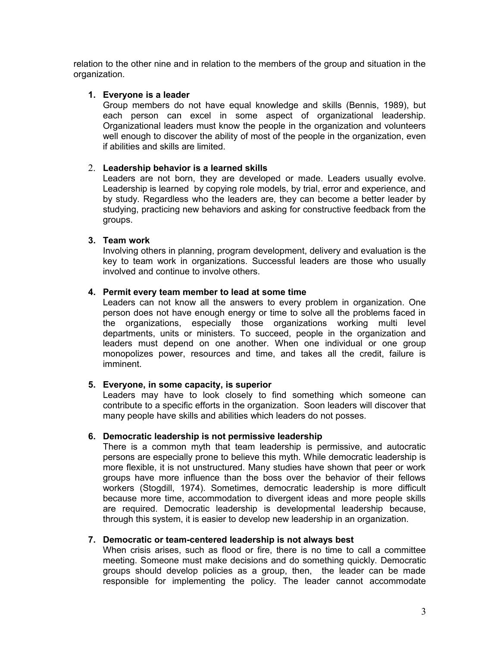relation to the other nine and in relation to the members of the group and situation in the organization.

#### **1. Everyone is a leader**

Group members do not have equal knowledge and skills (Bennis, 1989), but each person can excel in some aspect of organizational leadership. Organizational leaders must know the people in the organization and volunteers well enough to discover the ability of most of the people in the organization, even if abilities and skills are limited.

#### 2. **Leadership behavior is a learned skills**

Leaders are not born, they are developed or made. Leaders usually evolve. Leadership is learned by copying role models, by trial, error and experience, and by study. Regardless who the leaders are, they can become a better leader by studying, practicing new behaviors and asking for constructive feedback from the groups.

#### **3. Team work**

Involving others in planning, program development, delivery and evaluation is the key to team work in organizations. Successful leaders are those who usually involved and continue to involve others.

#### **4. Permit every team member to lead at some time**

Leaders can not know all the answers to every problem in organization. One person does not have enough energy or time to solve all the problems faced in the organizations, especially those organizations working multi level departments, units or ministers. To succeed, people in the organization and leaders must depend on one another. When one individual or one group monopolizes power, resources and time, and takes all the credit, failure is imminent.

#### **5. Everyone, in some capacity, is superior**

Leaders may have to look closely to find something which someone can contribute to a specific efforts in the organization. Soon leaders will discover that many people have skills and abilities which leaders do not posses.

#### **6. Democratic leadership is not permissive leadership**

There is a common myth that team leadership is permissive, and autocratic persons are especially prone to believe this myth. While democratic leadership is more flexible, it is not unstructured. Many studies have shown that peer or work groups have more influence than the boss over the behavior of their fellows workers (Stogdill, 1974). Sometimes, democratic leadership is more difficult because more time, accommodation to divergent ideas and more people skills are required. Democratic leadership is developmental leadership because, through this system, it is easier to develop new leadership in an organization.

#### **7. Democratic or team-centered leadership is not always best**

When crisis arises, such as flood or fire, there is no time to call a committee meeting. Someone must make decisions and do something quickly. Democratic groups should develop policies as a group, then, the leader can be made responsible for implementing the policy. The leader cannot accommodate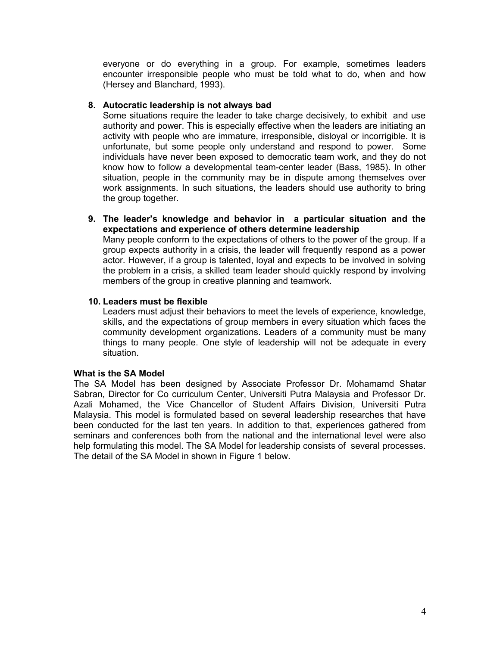everyone or do everything in a group. For example, sometimes leaders encounter irresponsible people who must be told what to do, when and how (Hersey and Blanchard, 1993).

#### **8. Autocratic leadership is not always bad**

Some situations require the leader to take charge decisively, to exhibit and use authority and power. This is especially effective when the leaders are initiating an activity with people who are immature, irresponsible, disloyal or incorrigible. It is unfortunate, but some people only understand and respond to power. Some individuals have never been exposed to democratic team work, and they do not know how to follow a developmental team-center leader (Bass, 1985). In other situation, people in the community may be in dispute among themselves over work assignments. In such situations, the leaders should use authority to bring the group together.

#### **9. The leader's knowledge and behavior in a particular situation and the expectations and experience of others determine leadership**

Many people conform to the expectations of others to the power of the group. If a group expects authority in a crisis, the leader will frequently respond as a power actor. However, if a group is talented, loyal and expects to be involved in solving the problem in a crisis, a skilled team leader should quickly respond by involving members of the group in creative planning and teamwork.

#### **10. Leaders must be flexible**

Leaders must adjust their behaviors to meet the levels of experience, knowledge, skills, and the expectations of group members in every situation which faces the community development organizations. Leaders of a community must be many things to many people. One style of leadership will not be adequate in every situation.

#### **What is the SA Model**

The SA Model has been designed by Associate Professor Dr. Mohamamd Shatar Sabran, Director for Co curriculum Center, Universiti Putra Malaysia and Professor Dr. Azali Mohamed, the Vice Chancellor of Student Affairs Division, Universiti Putra Malaysia. This model is formulated based on several leadership researches that have been conducted for the last ten years. In addition to that, experiences gathered from seminars and conferences both from the national and the international level were also help formulating this model. The SA Model for leadership consists of several processes. The detail of the SA Model in shown in Figure 1 below.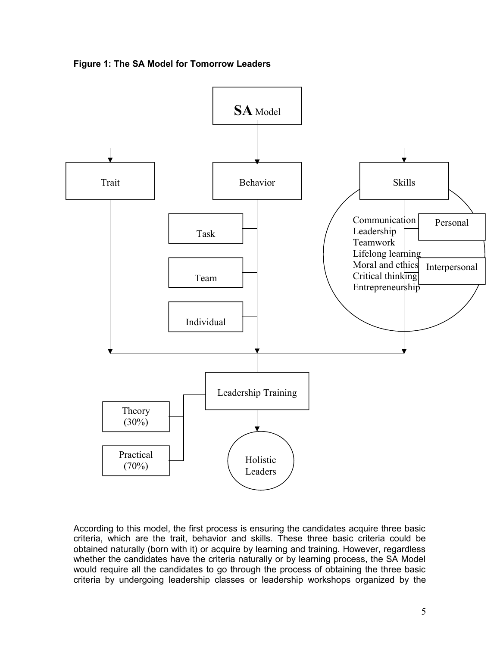



According to this model, the first process is ensuring the candidates acquire three basic criteria, which are the trait, behavior and skills. These three basic criteria could be obtained naturally (born with it) or acquire by learning and training. However, regardless whether the candidates have the criteria naturally or by learning process, the SA Model would require all the candidates to go through the process of obtaining the three basic criteria by undergoing leadership classes or leadership workshops organized by the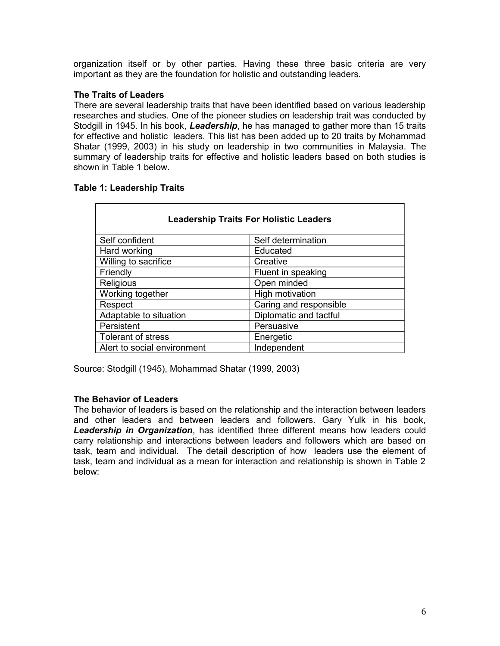organization itself or by other parties. Having these three basic criteria are very important as they are the foundation for holistic and outstanding leaders.

#### **The Traits of Leaders**

There are several leadership traits that have been identified based on various leadership researches and studies. One of the pioneer studies on leadership trait was conducted by Stodgill in 1945. In his book, *Leadership*, he has managed to gather more than 15 traits for effective and holistic leaders. This list has been added up to 20 traits by Mohammad Shatar (1999, 2003) in his study on leadership in two communities in Malaysia. The summary of leadership traits for effective and holistic leaders based on both studies is shown in Table 1 below.

#### **Table 1: Leadership Traits**

| <b>Leadership Traits For Holistic Leaders</b> |                        |  |
|-----------------------------------------------|------------------------|--|
| Self confident                                | Self determination     |  |
| Hard working                                  | Educated               |  |
| Willing to sacrifice                          | Creative               |  |
| Friendly                                      | Fluent in speaking     |  |
| Religious                                     | Open minded            |  |
| Working together                              | High motivation        |  |
| Respect                                       | Caring and responsible |  |
| Adaptable to situation                        | Diplomatic and tactful |  |
| Persistent                                    | Persuasive             |  |
| Tolerant of stress                            | Energetic              |  |
| Alert to social environment                   | Independent            |  |

Source: Stodgill (1945), Mohammad Shatar (1999, 2003)

#### **The Behavior of Leaders**

The behavior of leaders is based on the relationship and the interaction between leaders and other leaders and between leaders and followers. Gary Yulk in his book, *Leadership in Organization*, has identified three different means how leaders could carry relationship and interactions between leaders and followers which are based on task, team and individual. The detail description of how leaders use the element of task, team and individual as a mean for interaction and relationship is shown in Table 2 below: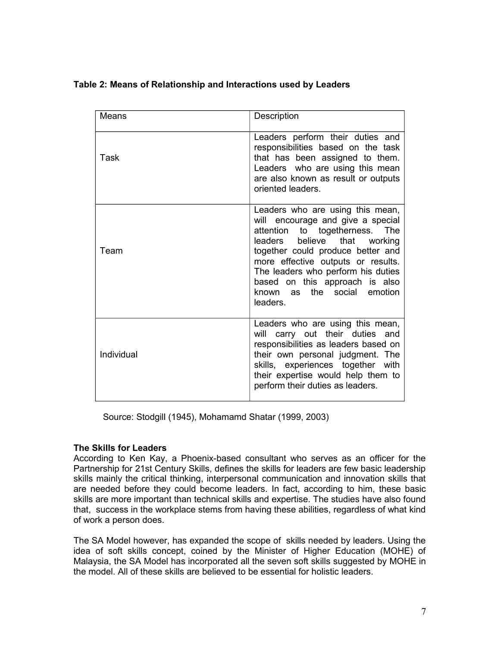### **Table 2: Means of Relationship and Interactions used by Leaders**

| Means      | Description                                                                                                                                                                                                                                                                                                                                                |
|------------|------------------------------------------------------------------------------------------------------------------------------------------------------------------------------------------------------------------------------------------------------------------------------------------------------------------------------------------------------------|
| Task       | Leaders perform their duties and<br>responsibilities based on the task<br>that has been assigned to them.<br>Leaders who are using this mean<br>are also known as result or outputs<br>oriented leaders.                                                                                                                                                   |
| Team       | Leaders who are using this mean,<br>will encourage and give a special<br>to togetherness.<br>attention<br>The<br>that<br>leaders<br>believe<br>working<br>together could produce better and<br>more effective outputs or results.<br>The leaders who perform his duties<br>based on this approach is also<br>the social<br>emotion<br>known as<br>leaders. |
| Individual | Leaders who are using this mean,<br>will carry out their duties and<br>responsibilities as leaders based on<br>their own personal judgment. The<br>skills, experiences together with<br>their expertise would help them to<br>perform their duties as leaders.                                                                                             |

Source: Stodgill (1945), Mohamamd Shatar (1999, 2003)

#### **The Skills for Leaders**

According to Ken Kay, a Phoenix-based consultant who serves as an officer for the Partnership for 21st Century Skills, defines the skills for leaders are few basic leadership skills mainly the critical thinking, interpersonal communication and innovation skills that are needed before they could become leaders. In fact, according to him, these basic skills are more important than technical skills and expertise. The studies have also found that, success in the workplace stems from having these abilities, regardless of what kind of work a person does.

The SA Model however, has expanded the scope of skills needed by leaders. Using the idea of soft skills concept, coined by the Minister of Higher Education (MOHE) of Malaysia, the SA Model has incorporated all the seven soft skills suggested by MOHE in the model. All of these skills are believed to be essential for holistic leaders.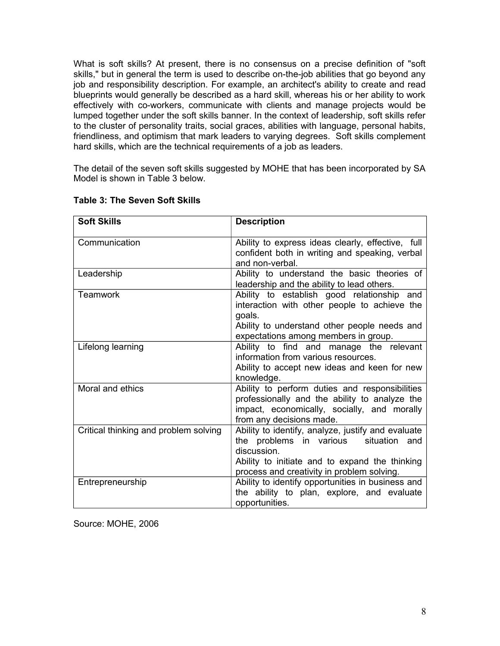What is soft skills? At present, there is no consensus on a precise definition of "soft skills," but in general the term is used to describe on-the-job abilities that go beyond any job and responsibility description. For example, an architect's ability to create and read blueprints would generally be described as a hard skill, whereas his or her ability to work effectively with co-workers, communicate with clients and manage projects would be lumped together under the soft skills banner. In the context of leadership, soft skills refer to the cluster of personality traits, social graces, abilities with language, personal habits, friendliness, and optimism that mark leaders to varying degrees. Soft skills complement hard skills, which are the technical requirements of a job as leaders.

The detail of the seven soft skills suggested by MOHE that has been incorporated by SA Model is shown in Table 3 below.

| <b>Soft Skills</b>                    | <b>Description</b>                                                                                                                                                                                            |
|---------------------------------------|---------------------------------------------------------------------------------------------------------------------------------------------------------------------------------------------------------------|
| Communication                         | Ability to express ideas clearly, effective, full<br>confident both in writing and speaking, verbal<br>and non-verbal.                                                                                        |
| Leadership                            | Ability to understand the basic theories of<br>leadership and the ability to lead others.                                                                                                                     |
| <b>Teamwork</b>                       | Ability to establish good relationship and<br>interaction with other people to achieve the<br>goals.<br>Ability to understand other people needs and<br>expectations among members in group.                  |
| Lifelong learning                     | Ability to find and manage the relevant<br>information from various resources.<br>Ability to accept new ideas and keen for new<br>knowledge.                                                                  |
| Moral and ethics                      | Ability to perform duties and responsibilities<br>professionally and the ability to analyze the<br>impact, economically, socially, and morally<br>from any decisions made.                                    |
| Critical thinking and problem solving | Ability to identify, analyze, justify and evaluate<br>the problems in various<br>situation and<br>discussion.<br>Ability to initiate and to expand the thinking<br>process and creativity in problem solving. |
| Entrepreneurship                      | Ability to identify opportunities in business and<br>the ability to plan, explore, and evaluate<br>opportunities.                                                                                             |

#### **Table 3: The Seven Soft Skills**

Source: MOHE, 2006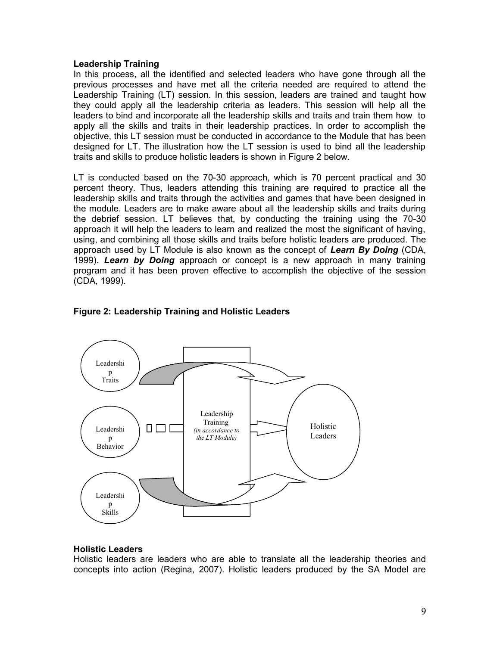#### **Leadership Training**

In this process, all the identified and selected leaders who have gone through all the previous processes and have met all the criteria needed are required to attend the Leadership Training (LT) session. In this session, leaders are trained and taught how they could apply all the leadership criteria as leaders. This session will help all the leaders to bind and incorporate all the leadership skills and traits and train them how to apply all the skills and traits in their leadership practices. In order to accomplish the objective, this LT session must be conducted in accordance to the Module that has been designed for LT. The illustration how the LT session is used to bind all the leadership traits and skills to produce holistic leaders is shown in Figure 2 below.

LT is conducted based on the 70-30 approach, which is 70 percent practical and 30 percent theory. Thus, leaders attending this training are required to practice all the leadership skills and traits through the activities and games that have been designed in the module. Leaders are to make aware about all the leadership skills and traits during the debrief session. LT believes that, by conducting the training using the 70-30 approach it will help the leaders to learn and realized the most the significant of having, using, and combining all those skills and traits before holistic leaders are produced. The approach used by LT Module is also known as the concept of *Learn By Doing* (CDA, 1999). *Learn by Doing* approach or concept is a new approach in many training program and it has been proven effective to accomplish the objective of the session (CDA, 1999).



#### **Figure 2: Leadership Training and Holistic Leaders**

#### **Holistic Leaders**

Holistic leaders are leaders who are able to translate all the leadership theories and concepts into action (Regina, 2007). Holistic leaders produced by the SA Model are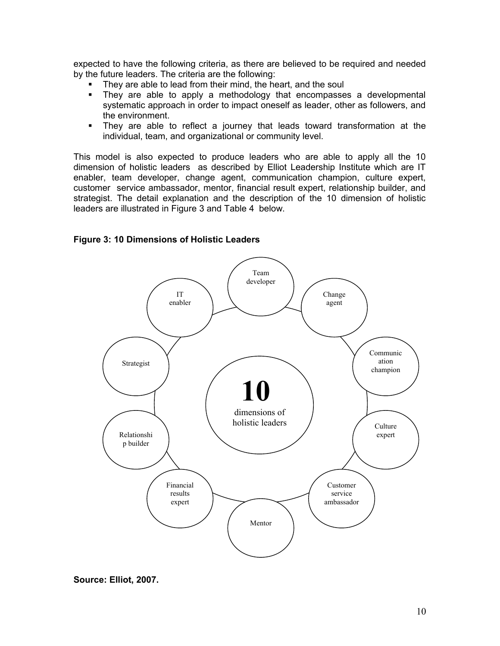expected to have the following criteria, as there are believed to be required and needed by the future leaders. The criteria are the following:

- They are able to lead from their mind, the heart, and the soul
- **They are able to apply a methodology that encompasses a developmental** systematic approach in order to impact oneself as leader, other as followers, and the environment.
- They are able to reflect a journey that leads toward transformation at the individual, team, and organizational or community level.

This model is also expected to produce leaders who are able to apply all the 10 dimension of holistic leaders as described by Elliot Leadership Institute which are IT enabler, team developer, change agent, communication champion, culture expert, customer service ambassador, mentor, financial result expert, relationship builder, and strategist. The detail explanation and the description of the 10 dimension of holistic leaders are illustrated in Figure 3 and Table 4 below.

#### **Figure 3: 10 Dimensions of Holistic Leaders**



**Source: Elliot, 2007.**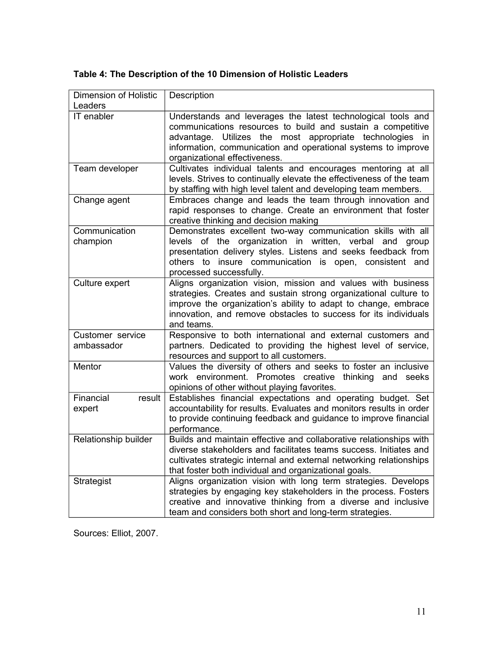| <b>Dimension of Holistic</b>   | Description                                                                                                                                                                                                                                                                               |
|--------------------------------|-------------------------------------------------------------------------------------------------------------------------------------------------------------------------------------------------------------------------------------------------------------------------------------------|
| Leaders                        |                                                                                                                                                                                                                                                                                           |
| IT enabler                     | Understands and leverages the latest technological tools and<br>communications resources to build and sustain a competitive<br>advantage. Utilizes the most appropriate technologies in<br>information, communication and operational systems to improve<br>organizational effectiveness. |
| Team developer                 | Cultivates individual talents and encourages mentoring at all<br>levels. Strives to continually elevate the effectiveness of the team<br>by staffing with high level talent and developing team members.                                                                                  |
| Change agent                   | Embraces change and leads the team through innovation and<br>rapid responses to change. Create an environment that foster<br>creative thinking and decision making                                                                                                                        |
| Communication<br>champion      | Demonstrates excellent two-way communication skills with all<br>levels of the organization in written, verbal and group<br>presentation delivery styles. Listens and seeks feedback from<br>others to insure communication is open, consistent and<br>processed successfully.             |
| Culture expert                 | Aligns organization vision, mission and values with business<br>strategies. Creates and sustain strong organizational culture to<br>improve the organization's ability to adapt to change, embrace<br>innovation, and remove obstacles to success for its individuals<br>and teams.       |
| Customer service<br>ambassador | Responsive to both international and external customers and<br>partners. Dedicated to providing the highest level of service,<br>resources and support to all customers.                                                                                                                  |
| Mentor                         | Values the diversity of others and seeks to foster an inclusive<br>work environment. Promotes creative thinking and seeks<br>opinions of other without playing favorites.                                                                                                                 |
| Financial<br>result<br>expert  | Establishes financial expectations and operating budget. Set<br>accountability for results. Evaluates and monitors results in order<br>to provide continuing feedback and guidance to improve financial<br>performance.                                                                   |
| Relationship builder           | Builds and maintain effective and collaborative relationships with<br>diverse stakeholders and facilitates teams success. Initiates and<br>cultivates strategic internal and external networking relationships<br>that foster both individual and organizational goals.                   |
| Strategist                     | Aligns organization vision with long term strategies. Develops<br>strategies by engaging key stakeholders in the process. Fosters<br>creative and innovative thinking from a diverse and inclusive<br>team and considers both short and long-term strategies.                             |

## **Table 4: The Description of the 10 Dimension of Holistic Leaders**

Sources: Elliot, 2007.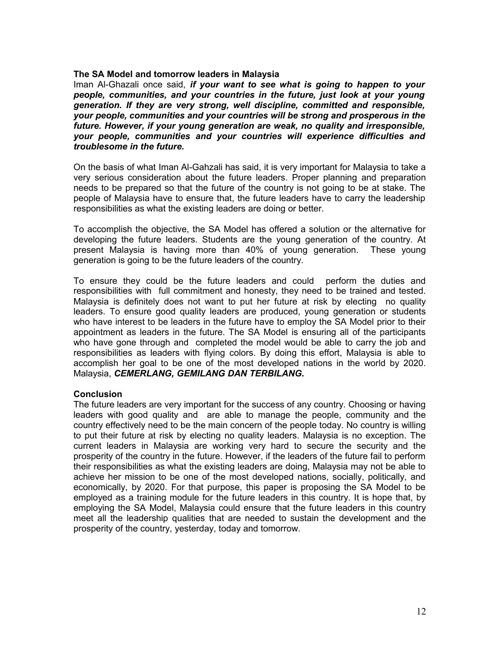#### **The SA Model and tomorrow leaders in Malaysia**

Iman Al-Ghazali once said, *if your want to see what is going to happen to your people, communities, and your countries in the future, just look at your young generation. If they are very strong, well discipline, committed and responsible, your people, communities and your countries will be strong and prosperous in the future. However, if your young generation are weak, no quality and irresponsible, your people, communities and your countries will experience difficulties and troublesome in the future.*

On the basis of what Iman Al-Gahzali has said, it is very important for Malaysia to take a very serious consideration about the future leaders. Proper planning and preparation needs to be prepared so that the future of the country is not going to be at stake. The people of Malaysia have to ensure that, the future leaders have to carry the leadership responsibilities as what the existing leaders are doing or better.

To accomplish the objective, the SA Model has offered a solution or the alternative for developing the future leaders. Students are the young generation of the country. At present Malaysia is having more than 40% of young generation. These young generation is going to be the future leaders of the country.

To ensure they could be the future leaders and could perform the duties and responsibilities with full commitment and honesty, they need to be trained and tested. Malaysia is definitely does not want to put her future at risk by electing no quality leaders. To ensure good quality leaders are produced, young generation or students who have interest to be leaders in the future have to employ the SA Model prior to their appointment as leaders in the future. The SA Model is ensuring all of the participants who have gone through and completed the model would be able to carry the job and responsibilities as leaders with flying colors. By doing this effort, Malaysia is able to accomplish her goal to be one of the most developed nations in the world by 2020. Malaysia, *CEMERLANG, GEMILANG DAN TERBILANG.*

#### **Conclusion**

The future leaders are very important for the success of any country. Choosing or having leaders with good quality and are able to manage the people, community and the country effectively need to be the main concern of the people today. No country is willing to put their future at risk by electing no quality leaders. Malaysia is no exception. The current leaders in Malaysia are working very hard to secure the security and the prosperity of the country in the future. However, if the leaders of the future fail to perform their responsibilities as what the existing leaders are doing, Malaysia may not be able to achieve her mission to be one of the most developed nations, socially, politically, and economically, by 2020. For that purpose, this paper is proposing the SA Model to be employed as a training module for the future leaders in this country. It is hope that, by employing the SA Model, Malaysia could ensure that the future leaders in this country meet all the leadership qualities that are needed to sustain the development and the prosperity of the country, yesterday, today and tomorrow.